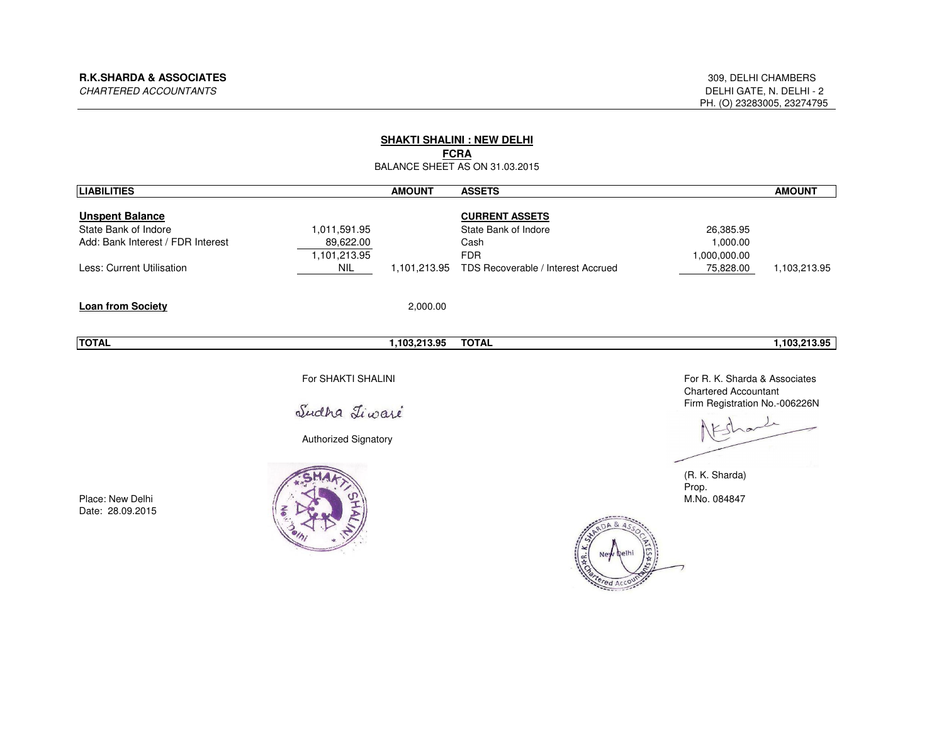| <b>SHAKTI SHALINI : NEW DELHI</b><br><b>FCRA</b><br>BALANCE SHEET AS ON 31.03.2015                               |                                                            |               |                                                                                                           |                                                                                                                                                   |               |  |
|------------------------------------------------------------------------------------------------------------------|------------------------------------------------------------|---------------|-----------------------------------------------------------------------------------------------------------|---------------------------------------------------------------------------------------------------------------------------------------------------|---------------|--|
| <b>LIABILITIES</b>                                                                                               |                                                            | <b>AMOUNT</b> | <b>ASSETS</b>                                                                                             |                                                                                                                                                   | <b>AMOUNT</b> |  |
| <b>Unspent Balance</b><br>State Bank of Indore<br>Add: Bank Interest / FDR Interest<br>Less: Current Utilisation | 1,011,591.95<br>89,622.00<br>1,101,213.95<br><b>NIL</b>    | 1,101,213.95  | <b>CURRENT ASSETS</b><br>State Bank of Indore<br>Cash<br><b>FDR</b><br>TDS Recoverable / Interest Accrued | 26,385.95<br>1,000.00<br>1,000,000.00<br>75,828.00                                                                                                | 1,103,213.95  |  |
| Loan from Society                                                                                                |                                                            | 2,000.00      |                                                                                                           |                                                                                                                                                   |               |  |
| <b>TOTAL</b>                                                                                                     |                                                            | 1,103,213.95  | <b>TOTAL</b>                                                                                              |                                                                                                                                                   | 1,103,213.95  |  |
| Place: New Delhi<br>Date: 28.09.2015                                                                             | For SHAKTI SHALINI<br>Sudha Liwaré<br>Authorized Signatory |               | ed Ac                                                                                                     | For R. K. Sharda & Associates<br><b>Chartered Accountant</b><br>Firm Registration No.-006226N<br>Shark<br>(R. K. Sharda)<br>Prop.<br>M.No. 084847 |               |  |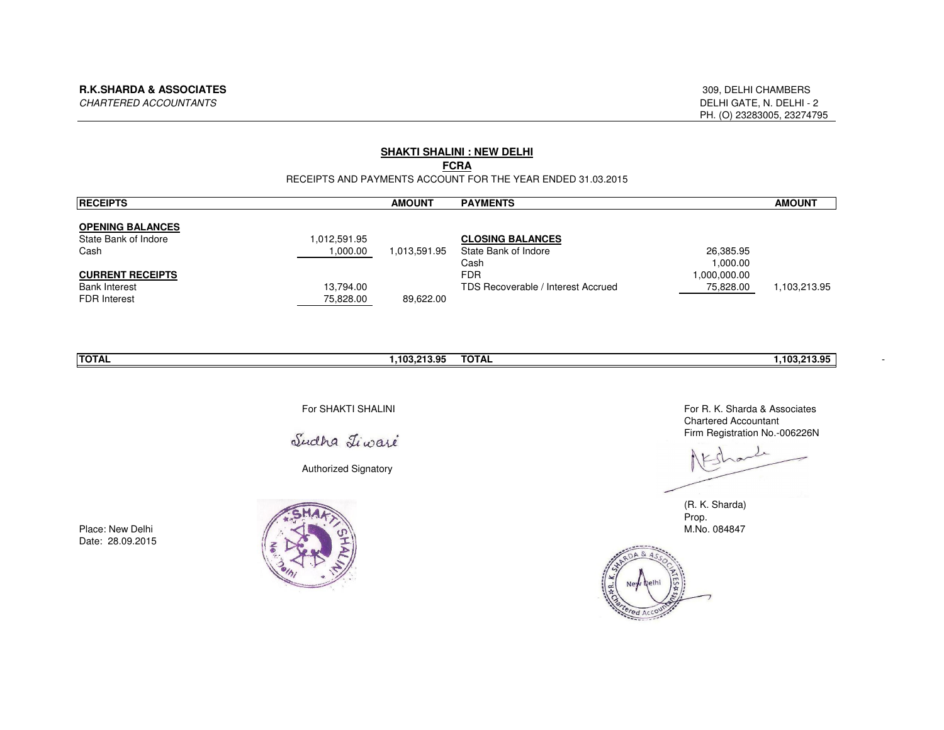## **SHAKTI SHALINI : NEW DELHI**

# **FCRA**

#### RECEIPTS AND PAYMENTS ACCOUNT FOR THE YEAR ENDED 31.03.2015

| <b>RECEIPTS</b>         |              | <b>AMOUNT</b> | <b>PAYMENTS</b>                    |              | <b>AMOUNT</b> |
|-------------------------|--------------|---------------|------------------------------------|--------------|---------------|
| <b>OPENING BALANCES</b> |              |               |                                    |              |               |
| State Bank of Indore    | 1.012.591.95 |               | <b>CLOSING BALANCES</b>            |              |               |
| Cash                    | 1,000.00     | 1,013,591.95  | State Bank of Indore               | 26,385.95    |               |
|                         |              |               | Cash                               | 1.000.00     |               |
| <b>CURRENT RECEIPTS</b> |              |               | <b>FDR</b>                         | 1.000.000.00 |               |
| <b>Bank Interest</b>    | 13.794.00    |               | TDS Recoverable / Interest Accrued | 75,828.00    | 1.103.213.95  |
| <b>FDR</b> Interest     | 75,828.00    | 89,622.00     |                                    |              |               |

| <b>ITOTAL</b> | <b>TOTAL</b><br>103.21<br>- מ<br>. | 103.213.95 |  |
|---------------|------------------------------------|------------|--|
|               |                                    |            |  |

For SHAKTI SHALINI

Sudha Liwaré

Authorized Signatory



Place: New DelhiDate: 28.09.2015

 For R. K. Sharda & AssociatesChartered AccountantFirm Registration No.-006226N

(R. K. Sharda)Prop.M.No. 084847